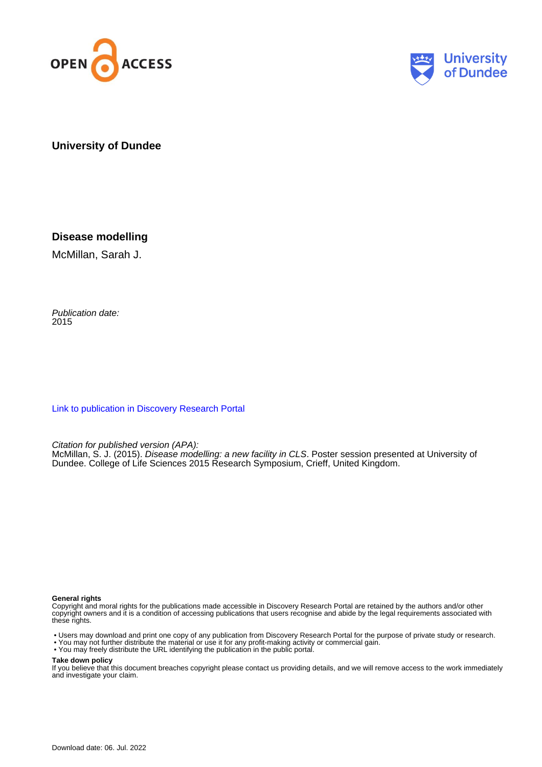



**University of Dundee**

**Disease modelling**

McMillan, Sarah J.

Publication date: 2015

[Link to publication in Discovery Research Portal](https://discovery.dundee.ac.uk/en/publications/6f193ed5-3a4a-49a8-8adc-06a6ad9f089e)

Citation for published version (APA):

McMillan, S. J. (2015). *Disease modelling: a new facility in CLS*. Poster session presented at University of Dundee. College of Life Sciences 2015 Research Symposium, Crieff, United Kingdom.

#### **General rights**

Copyright and moral rights for the publications made accessible in Discovery Research Portal are retained by the authors and/or other copyright owners and it is a condition of accessing publications that users recognise and abide by the legal requirements associated with these rights.

• Users may download and print one copy of any publication from Discovery Research Portal for the purpose of private study or research.

- You may not further distribute the material or use it for any profit-making activity or commercial gain.
- You may freely distribute the URL identifying the publication in the public portal.

#### **Take down policy**

If you believe that this document breaches copyright please contact us providing details, and we will remove access to the work immediately and investigate your claim.